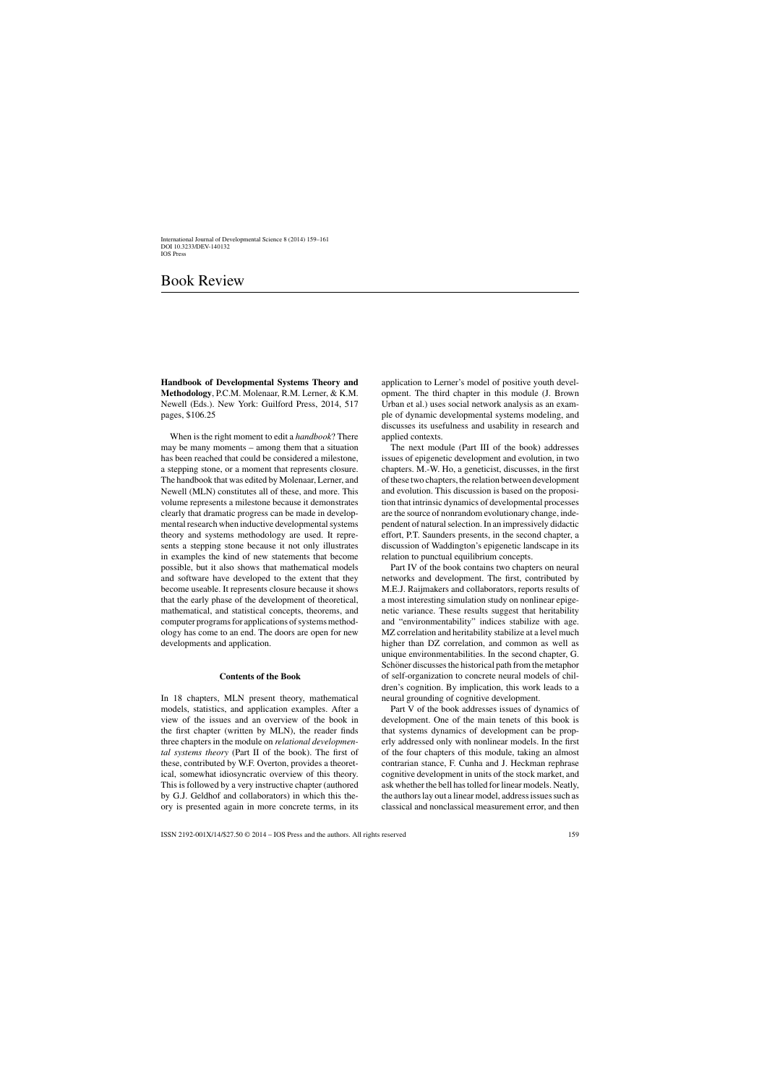## Book Review

**Handbook of Developmental Systems Theory and Methodology**, P.C.M. Molenaar, R.M. Lerner, & K.M. Newell (Eds.). New York: Guilford Press, 2014, 517 pages, \$106.25

When is the right moment to edit a *handbook*? There may be many moments – among them that a situation has been reached that could be considered a milestone, a stepping stone, or a moment that represents closure. The handbook that was edited by Molenaar, Lerner, and Newell (MLN) constitutes all of these, and more. This volume represents a milestone because it demonstrates clearly that dramatic progress can be made in developmental research when inductive developmental systems theory and systems methodology are used. It represents a stepping stone because it not only illustrates in examples the kind of new statements that become possible, but it also shows that mathematical models and software have developed to the extent that they become useable. It represents closure because it shows that the early phase of the development of theoretical, mathematical, and statistical concepts, theorems, and computer programs for applications of systems methodology has come to an end. The doors are open for new developments and application.

## **Contents of the Book**

In 18 chapters, MLN present theory, mathematical models, statistics, and application examples. After a view of the issues and an overview of the book in the first chapter (written by MLN), the reader finds three chapters in the module on *relational developmental systems theory* (Part II of the book). The first of these, contributed by W.F. Overton, provides a theoretical, somewhat idiosyncratic overview of this theory. This is followed by a very instructive chapter (authored by G.J. Geldhof and collaborators) in which this theory is presented again in more concrete terms, in its application to Lerner's model of positive youth development. The third chapter in this module (J. Brown Urban et al.) uses social network analysis as an example of dynamic developmental systems modeling, and discusses its usefulness and usability in research and applied contexts.

The next module (Part III of the book) addresses issues of epigenetic development and evolution, in two chapters. M.-W. Ho, a geneticist, discusses, in the first of these two chapters, the relation between development and evolution. This discussion is based on the proposition that intrinsic dynamics of developmental processes are the source of nonrandom evolutionary change, independent of natural selection. In an impressively didactic effort, P.T. Saunders presents, in the second chapter, a discussion of Waddington's epigenetic landscape in its relation to punctual equilibrium concepts.

Part IV of the book contains two chapters on neural networks and development. The first, contributed by M.E.J. Raijmakers and collaborators, reports results of a most interesting simulation study on nonlinear epigenetic variance. These results suggest that heritability and "environmentability" indices stabilize with age. MZ correlation and heritability stabilize at a level much higher than DZ correlation, and common as well as unique environmentabilities. In the second chapter, G. Schöner discusses the historical path from the metaphor of self-organization to concrete neural models of children's cognition. By implication, this work leads to a neural grounding of cognitive development.

Part V of the book addresses issues of dynamics of development. One of the main tenets of this book is that systems dynamics of development can be properly addressed only with nonlinear models. In the first of the four chapters of this module, taking an almost contrarian stance, F. Cunha and J. Heckman rephrase cognitive development in units of the stock market, and ask whether the bell has tolled for linear models. Neatly, the authors lay out a linear model, address issues such as classical and nonclassical measurement error, and then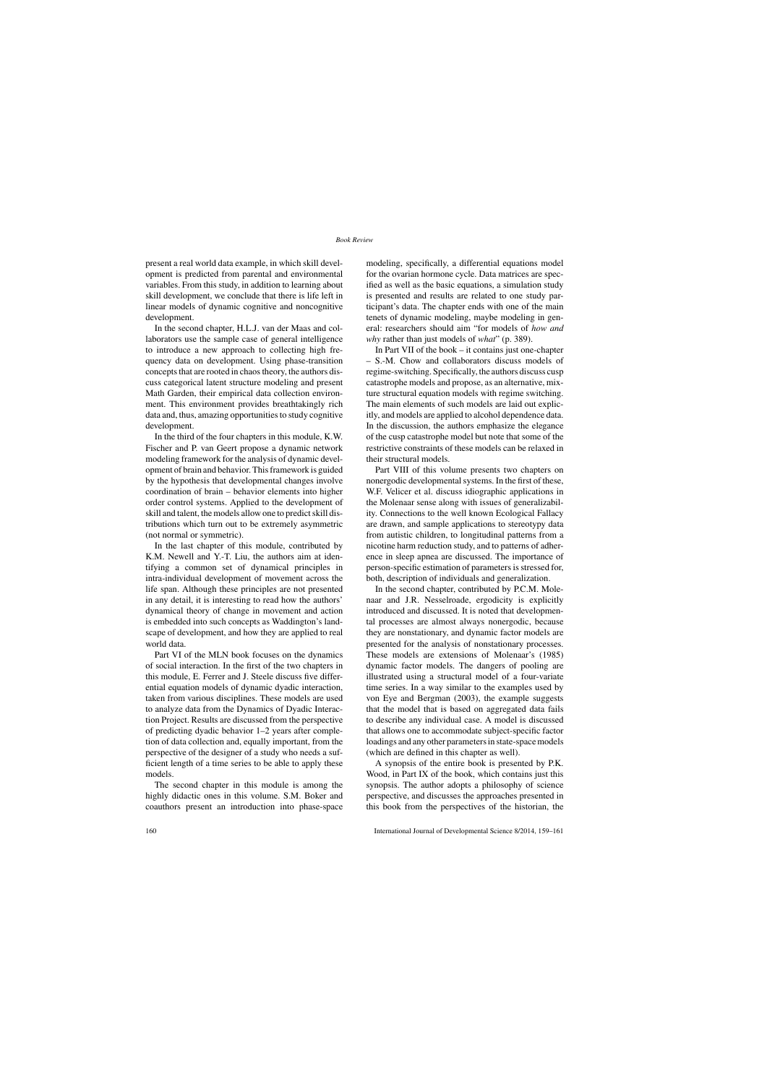present a real world data example, in which skill development is predicted from parental and environmental variables. From this study, in addition to learning about skill development, we conclude that there is life left in linear models of dynamic cognitive and noncognitive development.

In the second chapter, H.L.J. van der Maas and collaborators use the sample case of general intelligence to introduce a new approach to collecting high frequency data on development. Using phase-transition concepts that are rooted in chaos theory, the authors discuss categorical latent structure modeling and present Math Garden, their empirical data collection environment. This environment provides breathtakingly rich data and, thus, amazing opportunities to study cognitive development.

In the third of the four chapters in this module, K.W. Fischer and P. van Geert propose a dynamic network modeling framework for the analysis of dynamic development of brain and behavior. This framework is guided by the hypothesis that developmental changes involve coordination of brain – behavior elements into higher order control systems. Applied to the development of skill and talent, the models allow one to predict skill distributions which turn out to be extremely asymmetric (not normal or symmetric).

In the last chapter of this module, contributed by K.M. Newell and Y.-T. Liu, the authors aim at identifying a common set of dynamical principles in intra-individual development of movement across the life span. Although these principles are not presented in any detail, it is interesting to read how the authors' dynamical theory of change in movement and action is embedded into such concepts as Waddington's landscape of development, and how they are applied to real world data.

Part VI of the MLN book focuses on the dynamics of social interaction. In the first of the two chapters in this module, E. Ferrer and J. Steele discuss five differential equation models of dynamic dyadic interaction, taken from various disciplines. These models are used to analyze data from the Dynamics of Dyadic Interaction Project. Results are discussed from the perspective of predicting dyadic behavior 1–2 years after completion of data collection and, equally important, from the perspective of the designer of a study who needs a sufficient length of a time series to be able to apply these models.

The second chapter in this module is among the highly didactic ones in this volume. S.M. Boker and coauthors present an introduction into phase-space modeling, specifically, a differential equations model for the ovarian hormone cycle. Data matrices are specified as well as the basic equations, a simulation study is presented and results are related to one study participant's data. The chapter ends with one of the main tenets of dynamic modeling, maybe modeling in general: researchers should aim "for models of *how and why* rather than just models of *what*" (p. 389).

In Part VII of the book – it contains just one-chapter – S.-M. Chow and collaborators discuss models of regime-switching. Specifically, the authors discuss cusp catastrophe models and propose, as an alternative, mixture structural equation models with regime switching. The main elements of such models are laid out explicitly, and models are applied to alcohol dependence data. In the discussion, the authors emphasize the elegance of the cusp catastrophe model but note that some of the restrictive constraints of these models can be relaxed in their structural models.

Part VIII of this volume presents two chapters on nonergodic developmental systems. In the first of these, W.F. Velicer et al. discuss idiographic applications in the Molenaar sense along with issues of generalizability. Connections to the well known Ecological Fallacy are drawn, and sample applications to stereotypy data from autistic children, to longitudinal patterns from a nicotine harm reduction study, and to patterns of adherence in sleep apnea are discussed. The importance of person-specific estimation of parameters is stressed for, both, description of individuals and generalization.

In the second chapter, contributed by P.C.M. Molenaar and J.R. Nesselroade, ergodicity is explicitly introduced and discussed. It is noted that developmental processes are almost always nonergodic, because they are nonstationary, and dynamic factor models are presented for the analysis of nonstationary processes. These models are extensions of Molenaar's (1985) dynamic factor models. The dangers of pooling are illustrated using a structural model of a four-variate time series. In a way similar to the examples used by von Eye and Bergman (2003), the example suggests that the model that is based on aggregated data fails to describe any individual case. A model is discussed that allows one to accommodate subject-specific factor loadings and any other parameters in state-space models (which are defined in this chapter as well).

A synopsis of the entire book is presented by P.K. Wood, in Part IX of the book, which contains just this synopsis. The author adopts a philosophy of science perspective, and discusses the approaches presented in this book from the perspectives of the historian, the